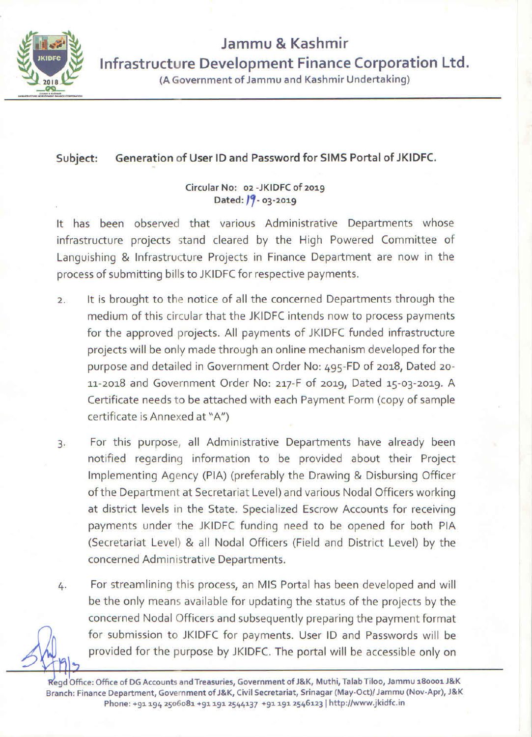

## Jammu & Kashmir Infrastructure Development Finance Corporation Ltd. (A Government of Jammu and Kashmir Undertaking)

#### Generation of User ID and Password for SIMS Portal of JKIDFC. Subject:

## Circular No: 02 - JKIDFC of 2019 Dated:  $19 - 03 - 2019$

It has been observed that various Administrative Departments whose infrastructure projects stand cleared by the High Powered Committee of Languishing & Infrastructure Projects in Finance Department are now in the process of submitting bills to JKIDFC for respective payments.

- It is brought to the notice of all the concerned Departments through the  $\overline{2}$ . medium of this circular that the JKIDFC intends now to process payments for the approved projects. All payments of JKIDFC funded infrastructure projects will be only made through an online mechanism developed for the purpose and detailed in Government Order No: 495-FD of 2018, Dated 20-11-2018 and Government Order No: 217-F of 2019, Dated 15-03-2019. A Certificate needs to be attached with each Payment Form (copy of sample certificate is Annexed at "A")
- For this purpose, all Administrative Departments have already been  $\overline{3}$ . notified regarding information to be provided about their Project Implementing Agency (PIA) (preferably the Drawing & Disbursing Officer of the Department at Secretariat Level) and various Nodal Officers working at district levels in the State. Specialized Escrow Accounts for receiving payments under the JKIDFC funding need to be opened for both PIA (Secretariat Level) & all Nodal Officers (Field and District Level) by the concerned Administrative Departments.
- For streamlining this process, an MIS Portal has been developed and will 4. be the only means available for updating the status of the projects by the concerned Nodal Officers and subsequently preparing the payment format for submission to JKIDFC for payments. User ID and Passwords will be provided for the purpose by JKIDFC. The portal will be accessible only on

Regd Office: Office of DG Accounts and Treasuries, Government of J&K, Muthi, Talab Tiloo, Jammu 180001 J&K Branch: Finance Department, Government of J&K, Civil Secretariat, Srinagar (May-Oct)/ Jammu (Nov-Apr), J&K Phone: +91 194 2506081 +91 191 2544137 +91 191 2546123 | http://www.jkidfc.in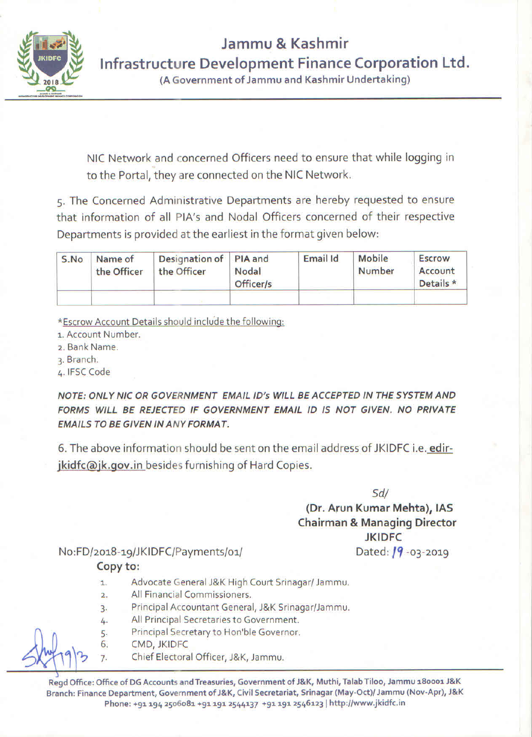

Jammu & Kashmir Infrastructure Development Finance Corporation Ltd.

(A Government of Jammu and Kashmir Undertaking)

NIC Network and concerned Officers need to ensure that while logging in to the Portal, they are connected on the NIC Network.

5. The Concerned Administrative Departments are hereby requested to ensure that information of all PIA's and Nodal Officers concerned of their respective Departments is provided at the earliest in the format given below:

| S.No | Name of<br>the Officer | Designation of PIA and<br>the Officer | Nodal<br>Officer/s | Email Id | Mobile<br>Number | <b>Escrow</b><br>Account<br>Details * |
|------|------------------------|---------------------------------------|--------------------|----------|------------------|---------------------------------------|
|      |                        |                                       |                    |          |                  |                                       |

\*Escrow Account Details should include the following:

- 1. Account Number.
- 2. Bank Name.
- 3. Branch.
- 4. IFSC Code

NOTE: ONLY NIC OR GOVERNMENT EMAIL ID's WILL BE ACCEPTED IN THE SYSTEM AND FORMS WILL BE REJECTED IF GOVERNMENT EMAIL ID IS NOT GIVEN. NO PRIVATE **EMAILS TO BE GIVEN IN ANY FORMAT.** 

6. The above information should be sent on the email address of JKIDFC i.e. edirjkidfc@jk.gov.in besides furnishing of Hard Copies.

 $Sd/$ 

## (Dr. Arun Kumar Mehta), IAS **Chairman & Managing Director JKIDFC**

Dated:  $19 - 03 - 2019$ 

No:FD/2018-19/JKIDFC/Payments/01/ Copy to:

- Advocate General J&K High Court Srinagar/ Jammu.  $\mathbf{1}$ .
- All Financial Commissioners.  $\overline{2}$ .
- Principal Accountant General, J&K Srinagar/Jammu.  $\overline{3}$ .
- All Principal Secretaries to Government. 4.
- Principal Secretary to Hon'ble Governor. 5.
- CMD, JKIDFC 6.

 $\overline{7}$ .

Chief Electoral Officer, J&K, Jammu.

Regd Office: Office of DG Accounts and Treasuries, Government of J&K, Muthi, Talab Tiloo, Jammu 180001 J&K Branch: Finance Department, Government of J&K, Civil Secretariat, Srinagar (May-Oct)/ Jammu (Nov-Apr), J&K Phone: +91 194 2506081 +91 191 2544137 +91 191 2546123 | http://www.jkidfc.in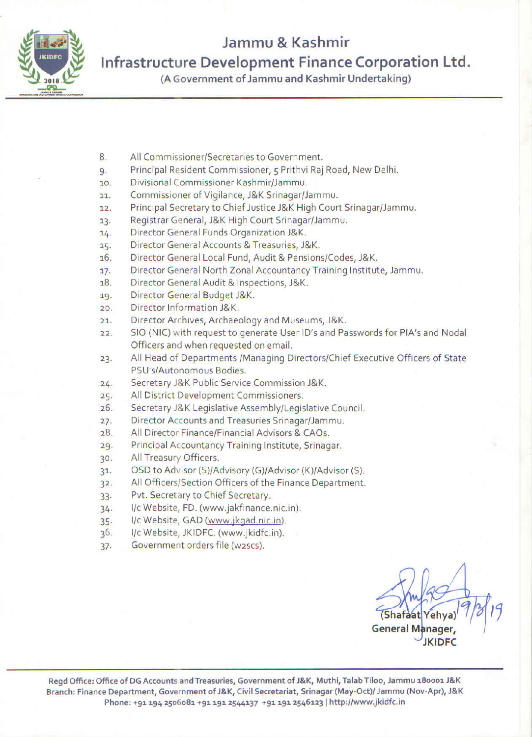

# Jammu & Kashmir

Infrastructure Development Finance Corporation Ltd.

(A Government of Jammu and Kashmir Undertaking)

- All Commissioner/Secretaries to Government. 8.
- Principal Resident Commissioner, 5 Prithvi Raj Road, New Delhi. 9.
- Divisional Commissioner Kashmir/Jammu.  $10.$
- Commissioner of Vigilance, J&K Srinagar/Jammu.  $11 -$
- Principal Secretary to Chief Justice J&K High Court Srinagar/Jammu.  $12.$
- Registrar General, J&K High Court Srinagar/Jammu.  $13.$
- Director General Funds Organization J&K.  $14.$
- Director General Accounts & Treasuries, J&K. 15.
- Director General Local Fund, Audit & Pensions/Codes, J&K. 16.
- Director General North Zonal Accountancy Training Institute, Jammu.  $17.$
- Director General Audit & Inspections, J&K. 18.
- Director General Budget J&K. 19.
- Director Information J&K.  $20.$
- Director Archives, Archaeology and Museums, J&K.  $21.$
- SIO (NIC) with request to generate User ID's and Passwords for PIA's and Nodal  $22$ Officers and when requested on email.
- All Head of Departments /Managing Directors/Chief Executive Officers of State  $23.$ PSU's/Autonomous Bodies.
- Secretary J&K Public Service Commission J&K.  $24.$
- All District Development Commissioners.  $25.$
- Secretary J&K Legislative Assembly/Legislative Council.  $26.$
- Director Accounts and Treasuries Srinagar/Jammu.  $27.$
- All Director Finance/Financial Advisors & CAOs.  $28.$
- Principal Accountancy Training Institute, Srinagar.  $29.$
- All Treasury Officers.  $30.$
- OSD to Advisor (S)/Advisory (G)/Advisor (K)/Advisor (S).  $31.$
- All Officers/Section Officers of the Finance Department.  $32.$
- Pvt. Secretary to Chief Secretary.  $33.$
- I/c Website, FD. (www.jakfinance.nic.in).  $34.$
- I/c Website, GAD (www.jkgad.nic.in).  $35.$
- I/c Website, JKIDFC. (www.jkidfc.in).  $36.$
- Government orders file (w2scs).  $37.$

(Shafaat Yehva General Manager, **JKIDFC**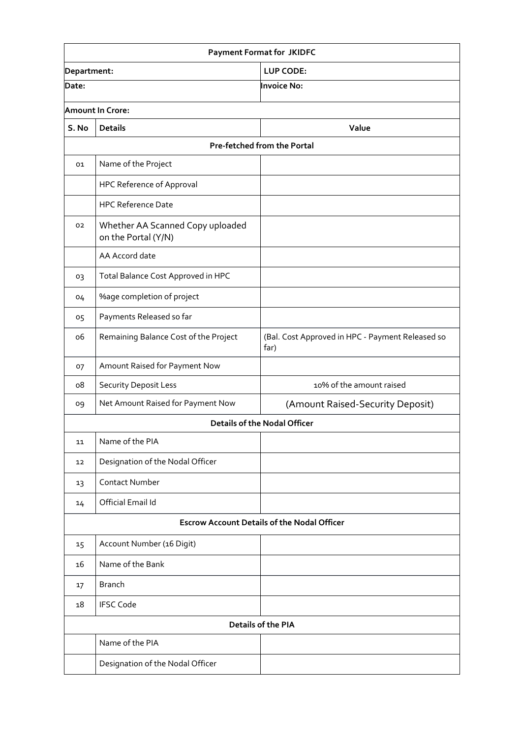| <b>Payment Format for JKIDFC</b>                   |                                                         |                                                          |  |  |  |  |
|----------------------------------------------------|---------------------------------------------------------|----------------------------------------------------------|--|--|--|--|
| Department:                                        |                                                         | <b>LUP CODE:</b>                                         |  |  |  |  |
| Date:                                              |                                                         | Invoice No:                                              |  |  |  |  |
|                                                    | <b>Amount In Crore:</b>                                 |                                                          |  |  |  |  |
| S. No                                              | <b>Details</b>                                          | Value                                                    |  |  |  |  |
|                                                    | <b>Pre-fetched from the Portal</b>                      |                                                          |  |  |  |  |
| 01                                                 | Name of the Project                                     |                                                          |  |  |  |  |
|                                                    | <b>HPC Reference of Approval</b>                        |                                                          |  |  |  |  |
|                                                    | <b>HPC Reference Date</b>                               |                                                          |  |  |  |  |
| 02                                                 | Whether AA Scanned Copy uploaded<br>on the Portal (Y/N) |                                                          |  |  |  |  |
|                                                    | AA Accord date                                          |                                                          |  |  |  |  |
| 03                                                 | Total Balance Cost Approved in HPC                      |                                                          |  |  |  |  |
| 04                                                 | <b>%age completion of project</b>                       |                                                          |  |  |  |  |
| 05                                                 | Payments Released so far                                |                                                          |  |  |  |  |
| ο6                                                 | Remaining Balance Cost of the Project                   | (Bal. Cost Approved in HPC - Payment Released so<br>far) |  |  |  |  |
| 07                                                 | Amount Raised for Payment Now                           |                                                          |  |  |  |  |
| ο8                                                 | Security Deposit Less                                   | 10% of the amount raised                                 |  |  |  |  |
| 09                                                 | Net Amount Raised for Payment Now                       | (Amount Raised-Security Deposit)                         |  |  |  |  |
|                                                    |                                                         | <b>Details of the Nodal Officer</b>                      |  |  |  |  |
| 11                                                 | Name of the PIA                                         |                                                          |  |  |  |  |
| 12                                                 | Designation of the Nodal Officer                        |                                                          |  |  |  |  |
| 13                                                 | <b>Contact Number</b>                                   |                                                          |  |  |  |  |
| 14                                                 | Official Email Id                                       |                                                          |  |  |  |  |
| <b>Escrow Account Details of the Nodal Officer</b> |                                                         |                                                          |  |  |  |  |
| 15                                                 | Account Number (16 Digit)                               |                                                          |  |  |  |  |
| 16                                                 | Name of the Bank                                        |                                                          |  |  |  |  |
| 17                                                 | <b>Branch</b>                                           |                                                          |  |  |  |  |
| 18                                                 | <b>IFSC Code</b>                                        |                                                          |  |  |  |  |
|                                                    |                                                         | <b>Details of the PIA</b>                                |  |  |  |  |
|                                                    | Name of the PIA                                         |                                                          |  |  |  |  |
|                                                    | Designation of the Nodal Officer                        |                                                          |  |  |  |  |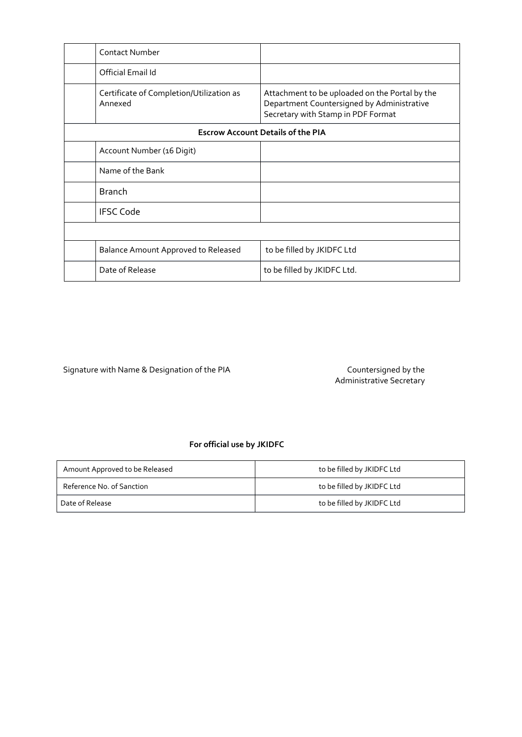|                                          | <b>Contact Number</b>                               |                                                                                                                                    |  |
|------------------------------------------|-----------------------------------------------------|------------------------------------------------------------------------------------------------------------------------------------|--|
|                                          | Official Email Id                                   |                                                                                                                                    |  |
|                                          | Certificate of Completion/Utilization as<br>Annexed | Attachment to be uploaded on the Portal by the<br>Department Countersigned by Administrative<br>Secretary with Stamp in PDF Format |  |
| <b>Escrow Account Details of the PIA</b> |                                                     |                                                                                                                                    |  |
|                                          | Account Number (16 Digit)                           |                                                                                                                                    |  |
|                                          | Name of the Bank                                    |                                                                                                                                    |  |
|                                          | <b>Branch</b>                                       |                                                                                                                                    |  |
|                                          | <b>IFSC Code</b>                                    |                                                                                                                                    |  |
|                                          |                                                     |                                                                                                                                    |  |
|                                          | <b>Balance Amount Approved to Released</b>          | to be filled by JKIDFC Ltd                                                                                                         |  |
|                                          | Date of Release                                     | to be filled by JKIDFC Ltd.                                                                                                        |  |

Signature with Name & Designation of the PIA

Administrative Secretary

#### **For official use by JKIDFC**

| Amount Approved to be Released | to be filled by JKIDFC Ltd |  |  |
|--------------------------------|----------------------------|--|--|
| Reference No. of Sanction      | to be filled by JKIDFC Ltd |  |  |
| Date of Release                | to be filled by JKIDFC Ltd |  |  |